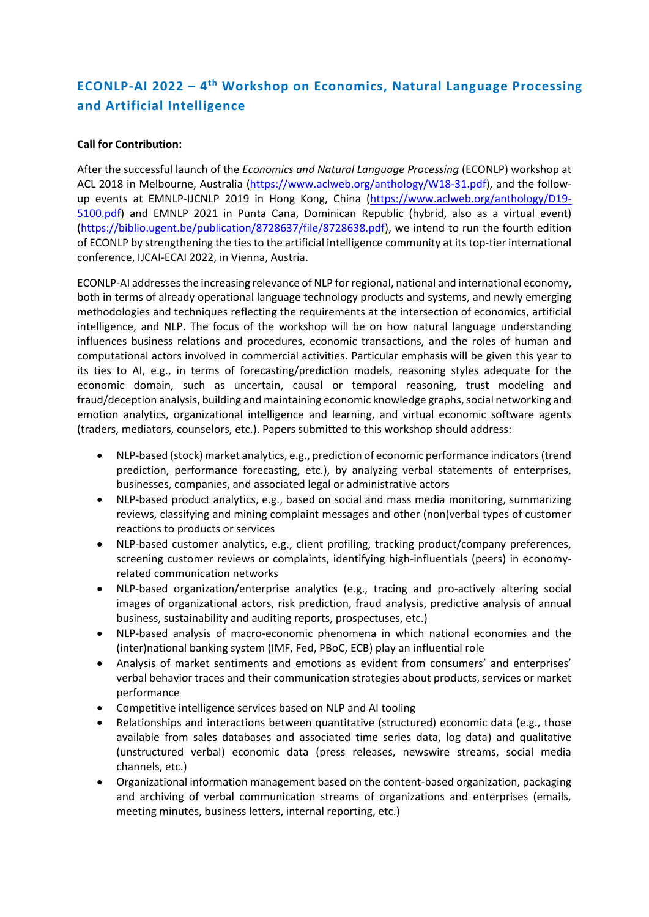# **ECONLP-AI 2022 – 4 th Workshop on Economics, Natural Language Processing and Artificial Intelligence**

## **Call for Contribution:**

After the successful launch of the *Economics and Natural Language Processing* (ECONLP) workshop at ACL 2018 in Melbourne, Australia [\(https://www.aclweb.org/anthology/W18-31.pdf\)](https://www.aclweb.org/anthology/W18-31.pdf), and the followup events at EMNLP-IJCNLP 2019 in Hong Kong, China [\(https://www.aclweb.org/anthology/D19-](https://www.aclweb.org/anthology/D19-5100.pdf) [5100.pdf\)](https://www.aclweb.org/anthology/D19-5100.pdf) and EMNLP 2021 in Punta Cana, Dominican Republic (hybrid, also as a virtual event) [\(https://biblio.ugent.be/publication/8728637/file/8728638.pdf\)](https://biblio.ugent.be/publication/8728637/file/8728638.pdf), we intend to run the fourth edition of ECONLP by strengthening the ties to the artificial intelligence community at its top-tier international conference, IJCAI-ECAI 2022, in Vienna, Austria.

ECONLP-AI addresses the increasing relevance of NLP forregional, national and international economy, both in terms of already operational language technology products and systems, and newly emerging methodologies and techniques reflecting the requirements at the intersection of economics, artificial intelligence, and NLP. The focus of the workshop will be on how natural language understanding influences business relations and procedures, economic transactions, and the roles of human and computational actors involved in commercial activities. Particular emphasis will be given this year to its ties to AI, e.g., in terms of forecasting/prediction models, reasoning styles adequate for the economic domain, such as uncertain, causal or temporal reasoning, trust modeling and fraud/deception analysis, building and maintaining economic knowledge graphs, social networking and emotion analytics, organizational intelligence and learning, and virtual economic software agents (traders, mediators, counselors, etc.). Papers submitted to this workshop should address:

- NLP-based (stock) market analytics, e.g., prediction of economic performance indicators (trend prediction, performance forecasting, etc.), by analyzing verbal statements of enterprises, businesses, companies, and associated legal or administrative actors
- NLP-based product analytics, e.g., based on social and mass media monitoring, summarizing reviews, classifying and mining complaint messages and other (non)verbal types of customer reactions to products or services
- NLP-based customer analytics, e.g., client profiling, tracking product/company preferences, screening customer reviews or complaints, identifying high-influentials (peers) in economyrelated communication networks
- NLP-based organization/enterprise analytics (e.g., tracing and pro-actively altering social images of organizational actors, risk prediction, fraud analysis, predictive analysis of annual business, sustainability and auditing reports, prospectuses, etc.)
- NLP-based analysis of macro-economic phenomena in which national economies and the (inter)national banking system (IMF, Fed, PBoC, ECB) play an influential role
- Analysis of market sentiments and emotions as evident from consumers' and enterprises' verbal behavior traces and their communication strategies about products, services or market performance
- Competitive intelligence services based on NLP and AI tooling
- Relationships and interactions between quantitative (structured) economic data (e.g., those available from sales databases and associated time series data, log data) and qualitative (unstructured verbal) economic data (press releases, newswire streams, social media channels, etc.)
- Organizational information management based on the content-based organization, packaging and archiving of verbal communication streams of organizations and enterprises (emails, meeting minutes, business letters, internal reporting, etc.)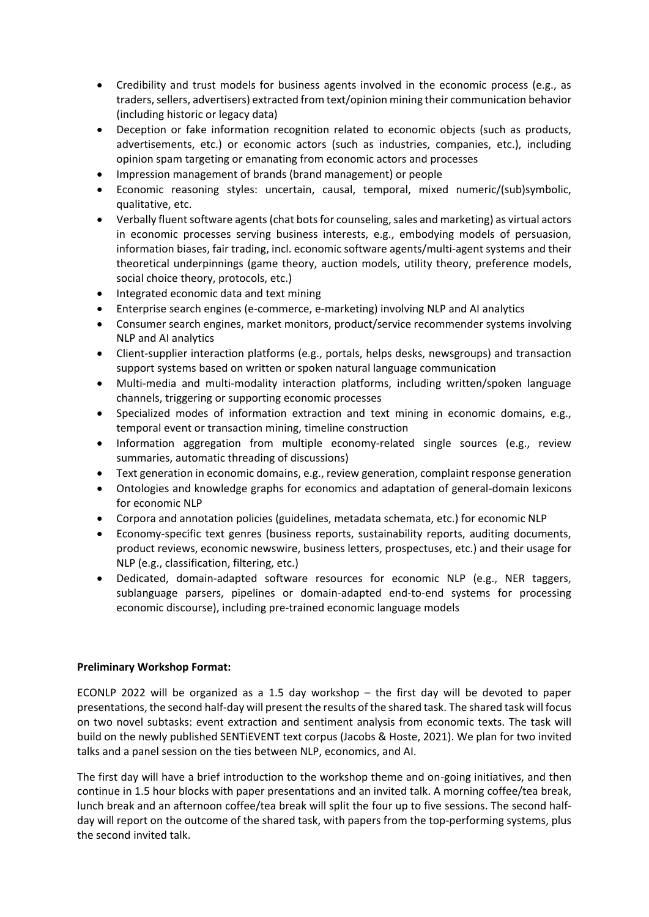- Credibility and trust models for business agents involved in the economic process (e.g., as traders, sellers, advertisers) extracted from text/opinion mining their communication behavior (including historic or legacy data)
- Deception or fake information recognition related to economic objects (such as products, advertisements, etc.) or economic actors (such as industries, companies, etc.), including opinion spam targeting or emanating from economic actors and processes
- Impression management of brands (brand management) or people
- Economic reasoning styles: uncertain, causal, temporal, mixed numeric/(sub)symbolic, qualitative, etc.
- Verbally fluent software agents (chat bots for counseling, sales and marketing) as virtual actors in economic processes serving business interests, e.g., embodying models of persuasion, information biases, fair trading, incl. economic software agents/multi-agent systems and their theoretical underpinnings (game theory, auction models, utility theory, preference models, social choice theory, protocols, etc.)
- Integrated economic data and text mining
- Enterprise search engines (e-commerce, e-marketing) involving NLP and AI analytics
- Consumer search engines, market monitors, product/service recommender systems involving NLP and AI analytics
- Client-supplier interaction platforms (e.g., portals, helps desks, newsgroups) and transaction support systems based on written or spoken natural language communication
- Multi-media and multi-modality interaction platforms, including written/spoken language channels, triggering or supporting economic processes
- Specialized modes of information extraction and text mining in economic domains, e.g., temporal event or transaction mining, timeline construction
- Information aggregation from multiple economy-related single sources (e.g., review summaries, automatic threading of discussions)
- Text generation in economic domains, e.g., review generation, complaint response generation
- Ontologies and knowledge graphs for economics and adaptation of general-domain lexicons for economic NLP
- Corpora and annotation policies (guidelines, metadata schemata, etc.) for economic NLP
- Economy-specific text genres (business reports, sustainability reports, auditing documents, product reviews, economic newswire, business letters, prospectuses, etc.) and their usage for NLP (e.g., classification, filtering, etc.)
- Dedicated, domain-adapted software resources for economic NLP (e.g., NER taggers, sublanguage parsers, pipelines or domain-adapted end-to-end systems for processing economic discourse), including pre-trained economic language models

# **Preliminary Workshop Format:**

ECONLP 2022 will be organized as a 1.5 day workshop – the first day will be devoted to paper presentations, the second half-day will present the results of the shared task. The shared task will focus on two novel subtasks: event extraction and sentiment analysis from economic texts. The task will build on the newly published SENTiEVENT text corpus (Jacobs & Hoste, 2021). We plan for two invited talks and a panel session on the ties between NLP, economics, and AI.

The first day will have a brief introduction to the workshop theme and on-going initiatives, and then continue in 1.5 hour blocks with paper presentations and an invited talk. A morning coffee/tea break, lunch break and an afternoon coffee/tea break will split the four up to five sessions. The second halfday will report on the outcome of the shared task, with papers from the top-performing systems, plus the second invited talk.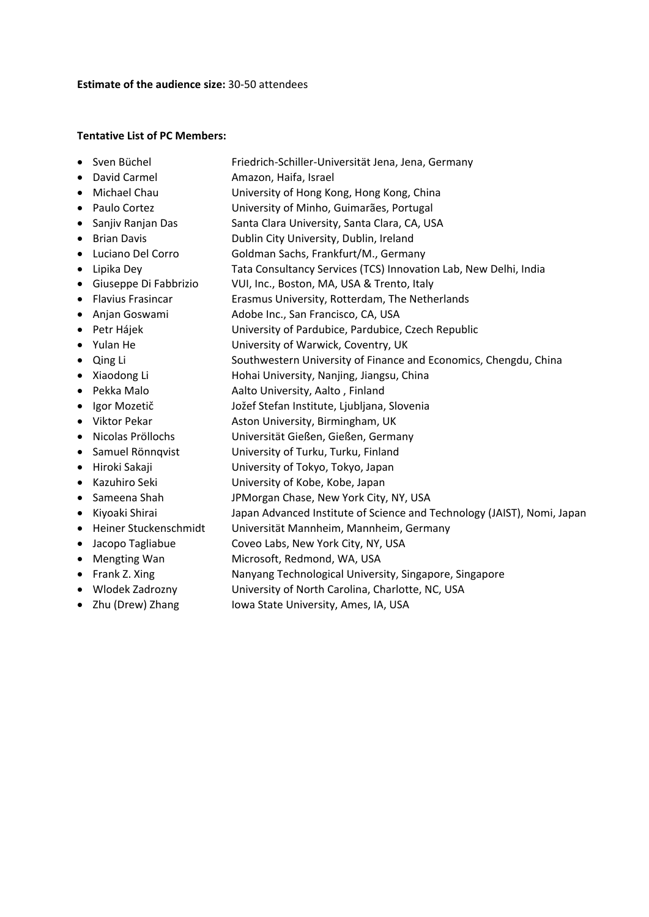#### **Estimate of the audience size:** 30-50 attendees

### **Tentative List of PC Members:**

- Sven Büchel Friedrich-Schiller-Universität Jena, Jena, Germany
- David Carmel **Amazon, Haifa, Israel**
- Michael Chau **University of Hong Kong, Hong Kong, China**
- Paulo Cortez University of Minho, Guimarães, Portugal
- Sanjiv Ranjan Das Santa Clara University, Santa Clara, CA, USA
- Brian Davis **Dublin City University, Dublin, Ireland**
- Luciano Del Corro Goldman Sachs, Frankfurt/M., Germany
- Lipika Dey Tata Consultancy Services (TCS) Innovation Lab, New Delhi, India
- Giuseppe Di Fabbrizio VUI, Inc., Boston, MA, USA & Trento, Italy
- Flavius Frasincar Erasmus University, Rotterdam, The Netherlands
- Anjan Goswami Adobe Inc., San Francisco, CA, USA
- Petr Hájek University of Pardubice, Pardubice, Czech Republic
- Yulan He University of Warwick, Coventry, UK
- Qing Li Southwestern University of Finance and Economics, Chengdu, China
- Xiaodong Li Hohai University, Nanjing, Jiangsu, China
- Pekka Malo **Aalto University, Aalto , Finland**
- Igor Mozetič Jožef Stefan Institute, Ljubljana, Slovenia
- Viktor Pekar **Aston University, Birmingham, UK**
- Nicolas Pröllochs Universität Gießen, Gießen, Germany
- Samuel Rönnqvist University of Turku, Turku, Finland
- Hiroki Sakaji University of Tokyo, Tokyo, Japan
- Kazuhiro Seki University of Kobe, Kobe, Japan
- Sameena Shah JPMorgan Chase, New York City, NY, USA
- Kiyoaki Shirai Japan Advanced Institute of Science and Technology (JAIST), Nomi, Japan
- Heiner Stuckenschmidt Universität Mannheim, Mannheim, Germany
- Jacopo Tagliabue Coveo Labs, New York City, NY, USA
- Mengting Wan Microsoft, Redmond, WA, USA
- Frank Z. Xing Nanyang Technological University, Singapore, Singapore
- Wlodek Zadrozny University of North Carolina, Charlotte, NC, USA
- Zhu (Drew) Zhang Iowa State University, Ames, IA, USA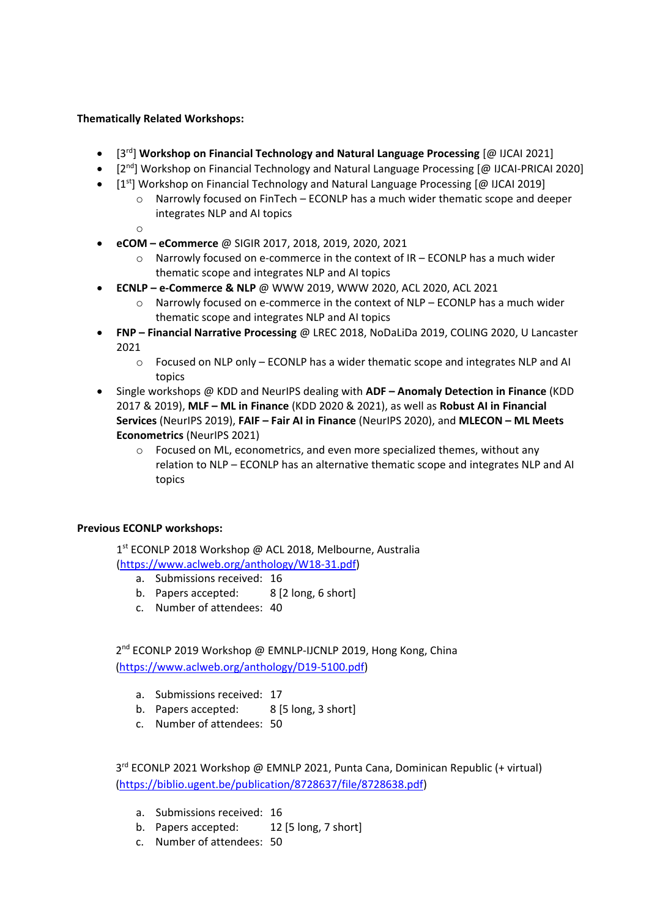# **Thematically Related Workshops:**

- [3 rd] **Workshop on Financial Technology and Natural Language Processing** [@ IJCAI 2021]
- [2<sup>nd</sup>] Workshop on Financial Technology and Natural Language Processing [@ IJCAI-PRICAI 2020]
- [1<sup>st</sup>] Workshop on Financial Technology and Natural Language Processing [@ IJCAI 2019]
	- $\circ$  Narrowly focused on FinTech ECONLP has a much wider thematic scope and deeper integrates NLP and AI topics
	- o
- **eCOM – eCommerce** @ SIGIR 2017, 2018, 2019, 2020, 2021
	- $\circ$  Narrowly focused on e-commerce in the context of IR ECONLP has a much wider thematic scope and integrates NLP and AI topics
- **ECNLP – e-Commerce & NLP** @ WWW 2019, WWW 2020, ACL 2020, ACL 2021
	- $\circ$  Narrowly focused on e-commerce in the context of NLP ECONLP has a much wider thematic scope and integrates NLP and AI topics
- **FNP – Financial Narrative Processing** @ LREC 2018, NoDaLiDa 2019, COLING 2020, U Lancaster 2021
	- $\circ$  Focused on NLP only ECONLP has a wider thematic scope and integrates NLP and AI topics
- Single workshops @ KDD and NeurIPS dealing with **ADF – Anomaly Detection in Finance** (KDD 2017 & 2019), **MLF – ML in Finance** (KDD 2020 & 2021), as well as **Robust AI in Financial Services** (NeurIPS 2019), **FAIF – Fair AI in Finance** (NeurIPS 2020), and **MLECON – ML Meets Econometrics** (NeurIPS 2021)
	- o Focused on ML, econometrics, and even more specialized themes, without any relation to NLP – ECONLP has an alternative thematic scope and integrates NLP and AI topics

# **Previous ECONLP workshops:**

1 st ECONLP 2018 Workshop @ ACL 2018, Melbourne, Australia [\(https://www.aclweb.org/anthology/W18-31.pdf\)](https://www.aclweb.org/anthology/W18-31.pdf)

- a. Submissions received: 16
- b. Papers accepted: 8 [2 long, 6 short]
- c. Number of attendees: 40

2<sup>nd</sup> ECONLP 2019 Workshop @ EMNLP-IJCNLP 2019, Hong Kong, China [\(https://www.aclweb.org/anthology/D19-5100.pdf\)](https://www.aclweb.org/anthology/D19-5100.pdf)

- a. Submissions received: 17
- b. Papers accepted: 8 [5 long, 3 short]
- c. Number of attendees: 50

3<sup>rd</sup> ECONLP 2021 Workshop @ EMNLP 2021, Punta Cana, Dominican Republic (+ virtual) [\(https://biblio.ugent.be/publication/8728637/file/8728638.pdf\)](https://biblio.ugent.be/publication/8728637/file/8728638.pdf)

- a. Submissions received: 16
- b. Papers accepted: 12 [5 long, 7 short]
- c. Number of attendees: 50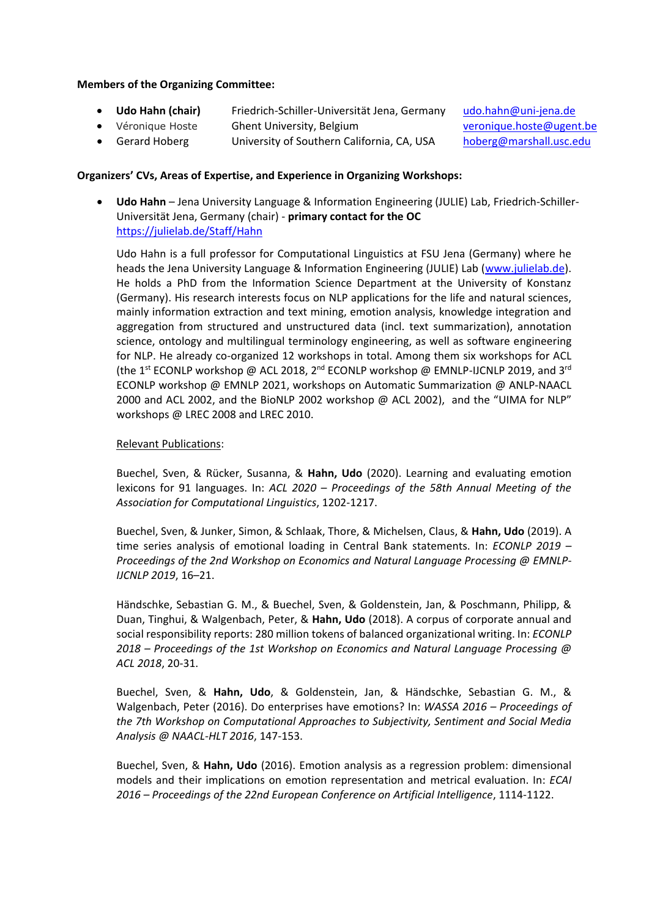### **Members of the Organizing Committee:**

- **Udo Hahn (chair) Friedrich-Schiller-Universität Jena, Germany [udo.hahn@uni-jena.de](mailto:udo.hahn@uni-jena.de)**
- Véronique Hoste Ghent University, Belgium [veronique.hoste@ugent.be](mailto:veronique.hoste@ugent.be)
- Gerard Hoberg University of Southern California, CA, USA [hoberg@marshall.usc.edu](mailto:hoberg@marshall.usc.edu)

## **Organizers' CVs, Areas of Expertise, and Experience in Organizing Workshops:**

 **Udo Hahn** – Jena University Language & Information Engineering (JULIE) Lab, Friedrich-Schiller-Universität Jena, Germany (chair) - **primary contact for the OC** <https://julielab.de/Staff/Hahn>

Udo Hahn is a full professor for Computational Linguistics at FSU Jena (Germany) where he heads the Jena University Language & Information Engineering (JULIE) Lab [\(www.julielab.de\)](http://www.julielab.de/). He holds a PhD from the Information Science Department at the University of Konstanz (Germany). His research interests focus on NLP applications for the life and natural sciences, mainly information extraction and text mining, emotion analysis, knowledge integration and aggregation from structured and unstructured data (incl. text summarization), annotation science, ontology and multilingual terminology engineering, as well as software engineering for NLP. He already co-organized 12 workshops in total. Among them six workshops for ACL (the 1<sup>st</sup> ECONLP workshop @ ACL 2018, 2<sup>nd</sup> ECONLP workshop @ EMNLP-IJCNLP 2019, and 3<sup>rd</sup> ECONLP workshop @ EMNLP 2021, workshops on Automatic Summarization @ ANLP-NAACL 2000 and ACL 2002, and the BioNLP 2002 workshop @ ACL 2002), and the "UIMA for NLP" workshops @ LREC 2008 and LREC 2010.

## Relevant Publications:

Buechel, Sven, & Rücker, Susanna, & **Hahn, Udo** (2020). Learning and evaluating emotion lexicons for 91 languages. In: *ACL 2020 – Proceedings of the 58th Annual Meeting of the Association for Computational Linguistics*, 1202-1217.

Buechel, Sven, & Junker, Simon, & Schlaak, Thore, & Michelsen, Claus, & **Hahn, Udo** (2019). A time series analysis of emotional loading in Central Bank statements. In: *ECONLP 2019 – Proceedings of the 2nd Workshop on Economics and Natural Language Processing @ EMNLP-IJCNLP 2019*, 16–21.

Händschke, Sebastian G. M., & Buechel, Sven, & Goldenstein, Jan, & Poschmann, Philipp, & Duan, Tinghui, & Walgenbach, Peter, & **Hahn, Udo** (2018). A corpus of corporate annual and social responsibility reports: 280 million tokens of balanced organizational writing. In: *ECONLP 2018 – Proceedings of the 1st Workshop on Economics and Natural Language Processing @ ACL 2018*, 20-31.

Buechel, Sven, & **Hahn, Udo**, & Goldenstein, Jan, & Händschke, Sebastian G. M., & Walgenbach, Peter (2016). Do enterprises have emotions? In: *WASSA 2016 – Proceedings of the 7th Workshop on Computational Approaches to Subjectivity, Sentiment and Social Media Analysis @ NAACL-HLT 2016*, 147-153.

Buechel, Sven, & **Hahn, Udo** (2016). Emotion analysis as a regression problem: dimensional models and their implications on emotion representation and metrical evaluation. In: *ECAI 2016 – Proceedings of the 22nd European Conference on Artificial Intelligence*, 1114-1122.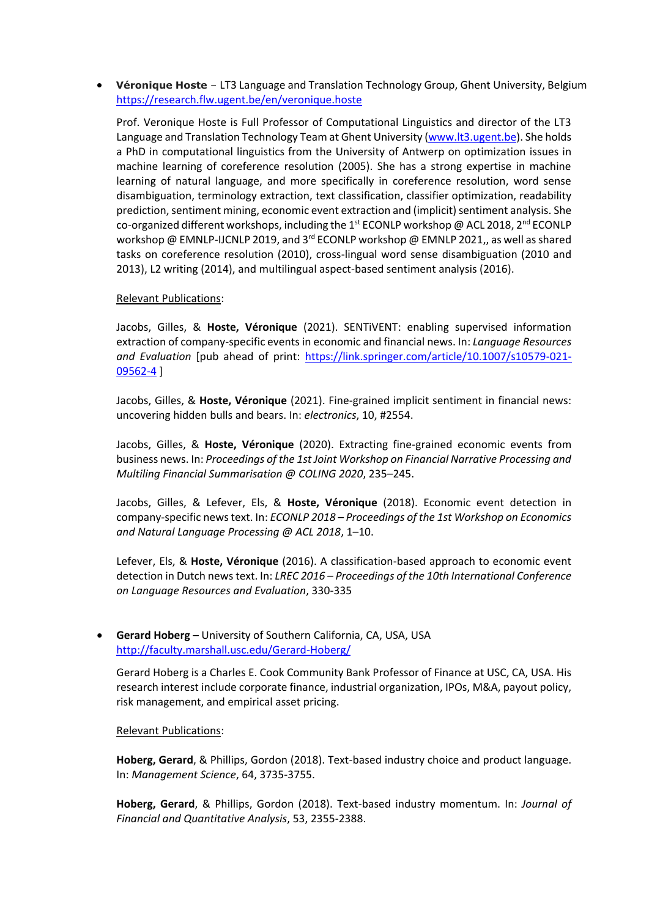**Véronique Hoste** – LT3 Language and Translation Technology Group, Ghent University, Belgium <https://research.flw.ugent.be/en/veronique.hoste>

Prof. Veronique Hoste is Full Professor of Computational Linguistics and director of the LT3 Language and Translation Technology Team at Ghent University [\(www.lt3.ugent.be\)](http://www.lt3.ugent.be/). She holds a PhD in computational linguistics from the University of Antwerp on optimization issues in machine learning of coreference resolution (2005). She has a strong expertise in machine learning of natural language, and more specifically in coreference resolution, word sense disambiguation, terminology extraction, text classification, classifier optimization, readability prediction, sentiment mining, economic event extraction and (implicit) sentiment analysis. She co-organized different workshops, including the 1<sup>st</sup> ECONLP workshop @ ACL 2018, 2<sup>nd</sup> ECONLP workshop @ EMNLP-IJCNLP 2019, and 3<sup>rd</sup> ECONLP workshop @ EMNLP 2021,, as well as shared tasks on coreference resolution (2010), cross-lingual word sense disambiguation (2010 and 2013), L2 writing (2014), and multilingual aspect-based sentiment analysis (2016).

#### Relevant Publications:

Jacobs, Gilles, & **Hoste, Véronique** (2021). SENTiVENT: enabling supervised information extraction of company-specific events in economic and financial news. In: *Language Resources and Evaluation* [pub ahead of print: [https://link.springer.com/article/10.1007/s10579-021-](https://link.springer.com/article/10.1007/s10579-021-09562-4) [09562-4](https://link.springer.com/article/10.1007/s10579-021-09562-4) ]

Jacobs, Gilles, & **Hoste, Véronique** (2021). Fine-grained implicit sentiment in financial news: uncovering hidden bulls and bears. In: *electronics*, 10, #2554.

Jacobs, Gilles, & **Hoste, Véronique** (2020). Extracting fine-grained economic events from business news. In: *Proceedings of the 1st Joint Workshop on Financial Narrative Processing and Multiling Financial Summarisation @ COLING 2020*, 235–245.

Jacobs, Gilles, & Lefever, Els, & **Hoste, Véronique** (2018). Economic event detection in company-specific news text. In: *ECONLP 2018 – Proceedings of the 1st Workshop on Economics and Natural Language Processing @ ACL 2018*, 1–10.

Lefever, Els, & **Hoste, Véronique** (2016). A classification-based approach to economic event detection in Dutch news text. In: *LREC 2016 – Proceedings of the 10th International Conference on Language Resources and Evaluation*, 330-335

#### **Gerard Hoberg** – University of Southern California, CA, USA, USA <http://faculty.marshall.usc.edu/Gerard-Hoberg/>

Gerard Hoberg is a Charles E. Cook Community Bank Professor of Finance at USC, CA, USA. His research interest include corporate finance, industrial organization, IPOs, M&A, payout policy, risk management, and empirical asset pricing.

#### Relevant Publications:

**Hoberg, Gerard**, & Phillips, Gordon (2018). Text-based industry choice and product language. In: *Management Science*, 64, 3735-3755.

**Hoberg, Gerard**, & Phillips, Gordon (2018). Text-based industry momentum. In: *Journal of Financial and Quantitative Analysis*, 53, 2355-2388.